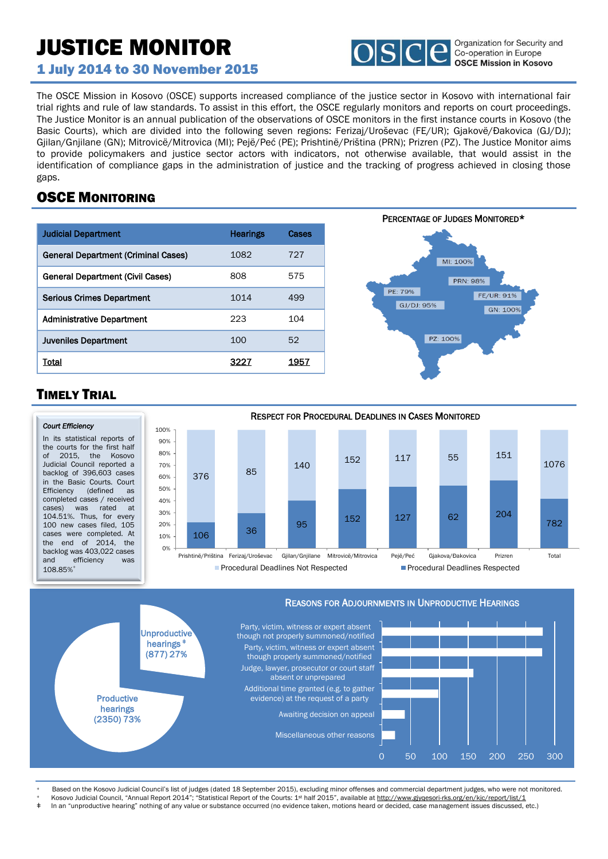# JUSTICE MONITOR



1 July 2014 to 30 November 2015

The OSCE Mission in Kosovo (OSCE) supports increased compliance of the justice sector in Kosovo with international fair trial rights and rule of law standards. To assist in this effort, the OSCE regularly monitors and reports on court proceedings. The Justice Monitor is an annual publication of the observations of OSCE monitors in the first instance courts in Kosovo (the Basic Courts), which are divided into the following seven regions: Ferizaj/Uroševac (FE/UR); Gjakovë/Đakovica (GJ/DJ); Gjilan/Gnjilane (GN); Mitrovicë/Mitrovica (MI); Pejë/Peć (PE); Prishtinë/Priština (PRN); Prizren (PZ). The Justice Monitor aims to provide policymakers and justice sector actors with indicators, not otherwise available, that would assist in the identification of compliance gaps in the administration of justice and the tracking of progress achieved in closing those gaps.

## OSCE MONITORING

| <b>Judicial Department</b>          | <b>Hearings</b> | Cases |
|-------------------------------------|-----------------|-------|
| General Department (Criminal Cases) | 1082            | 727   |
| General Department (Civil Cases)    | 808             | 575   |
| <b>Serious Crimes Department</b>    | 1014            | 499   |
| <b>Administrative Department</b>    | 223             | 104   |
| <b>Juveniles Department</b>         | 100             | 52    |
| Total                               | 322             | 1957  |



## TIMELY TRIAL





Based on the Kosovo Judicial Council's list of judges (dated 18 September 2015), excluding minor offenses and commercial department judges, who were not monitored.

Kosovo Judicial Council, "Annual Report 2014"; "Statistical Report of the Courts: 1st half 2015", available at http://www.gjyqesori-rks.org/en/kjc/report/list/1

In an "unproductive hearing" nothing of any value or substance occurred (no evidence taken, motions heard or decided, case management issues discussed, etc.)